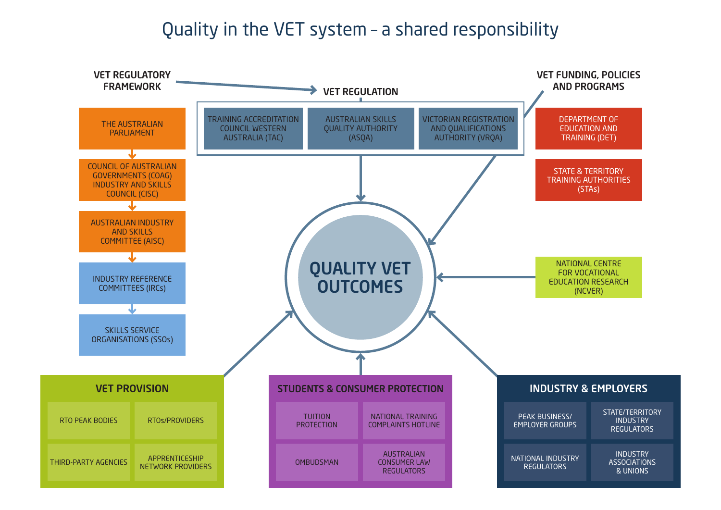## Quality in the VET system – a shared responsibility

STATE/TERRITORY INDUSTRY **REGULATORS** 

### INDUSTRY & EMPLOYERS

EMPLOYER GROUPS

REGULATORS

INDUSTRY ASSOCIATIONS & UNIONS

STATE & TERRITORY TRAINING AUTHORITIES (STAs)

DEPARTMENT OF EDUCATION AND TRAINING (DET)





# VET FUNDING, POLICIES

NATIONAL CENTRE FOR VOCATIONAL EDUCATION RESEARCH (NCVER)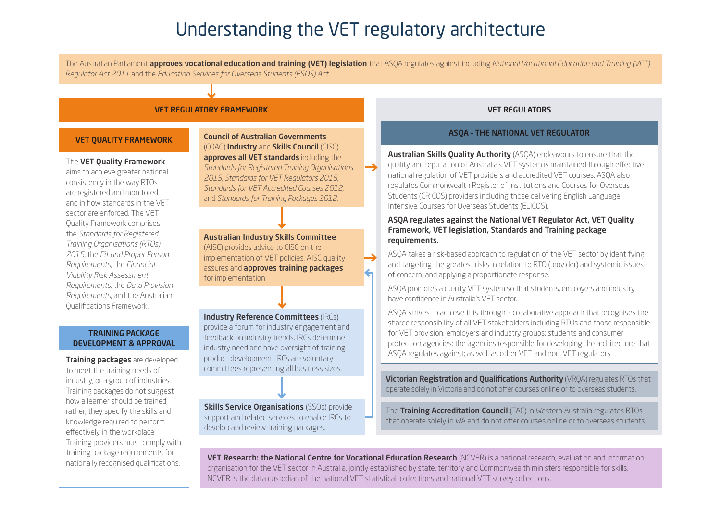# Understanding the VET regulatory architecture

aims to achieve greater national consistency in the way RTOs are registered and monitored and in how standards in the VET sector are enforced. The VET Quality Framework comprises the *Standards for Registered Training Organisations (RTOs) 2015*, the *Fit and Proper Person Requirements,* the *Financial Viability Risk Assessment Requirements,* the *Data Provision Requirements*, and the Australian Qualifications Framework.

**Training packages** are developed to meet the training needs of industry, or a group of industries. Training packages do not suggest how a learner should be trained, rather, they specify the skills and knowledge required to perform effectively in the workplace. Training providers must comply with training package requirements for nationally recognised qualifications.

**Skills Service Organisations** (SSOs) provide support and related services to enable IRCs to develop and review training packages.

Council of Australian Governments (COAG) Industry and Skills Council (CISC) approves all VET standards including the *Standards for Registered Training Organisations 2015, Standards for VET Regulators 2015, Standards for VET Accredited Courses 2012,*  and *Standards for Training Packages 2012*.

Australian Skills Quality Authority (ASQA) endeavours to ensure that the quality and reputation of Australia's VET system is maintained through effective national regulation of VET providers and accredited VET courses. ASQA also regulates Commonwealth Register of Institutions and Courses for Overseas Students (CRICOS) providers including those delivering English Language Intensive Courses for Overseas Students (ELICOS).

Australian Industry Skills Committee (AISC) provides advice to CISC on the implementation of VET policies. AISC quality assures and **approves training packages** for implementation.

Industry Reference Committees (IRCs) provide a forum for industry engagement and feedback on industry trends. IRCs determine industry need and have oversight of training product development. IRCs are voluntary committees representing all business sizes.

> **Victorian Registration and Qualifications Authority (VRQA) regulates RTOs that** operate solely in Victoria and do not offer courses online or to overseas students.

The Training Accreditation Council (TAC) in Western Australia regulates RTOs that operate solely in WA and do not offer courses online or to overseas students.

VET Research: the National Centre for Vocational Education Research (NCVER) is a national research, evaluation and information organisation for the VET sector in Australia, jointly established by state, territory and Commonwealth ministers responsible for skills. NCVER is the data custodian of the national VET statistical collections and national VET survey collections.

#### ASQA regulates against the National VET Regulator Act, VET Quality Framework, VET legislation, Standards and Training package requirements.

ASQA takes a risk-based approach to regulation of the VET sector by identifying and targeting the greatest risks in relation to RTO (provider) and systemic issues of concern, and applying a proportionate response.

ASQA promotes a quality VET system so that students, employers and industry have confidence in Australia's VET sector.

ASQA strives to achieve this through a collaborative approach that recognises the shared responsibility of all VET stakeholders including RTOs and those responsible for VET provision; employers and industry groups; students and consumer protection agencies; the agencies responsible for developing the architecture that ASQA regulates against; as well as other VET and non-VET regulators.

#### VET QUALITY FRAMEWORK

#### The VET Quality Framework

### ASQA – THE NATIONAL VET REGULATOR

#### TRAINING PACKAGE DEVELOPMENT & APPROVAL

#### VET REGULATORY FRAMEWORK VET REGULATORS

The Australian Parliament approves vocational education and training (VET) legislation that ASQA regulates against including *National Vocational Education and Training (VET) Regulator Act 2011* and the *Education Services for Overseas Students (ESOS) Act*.

 $\left| \boldsymbol{\epsilon} \right|$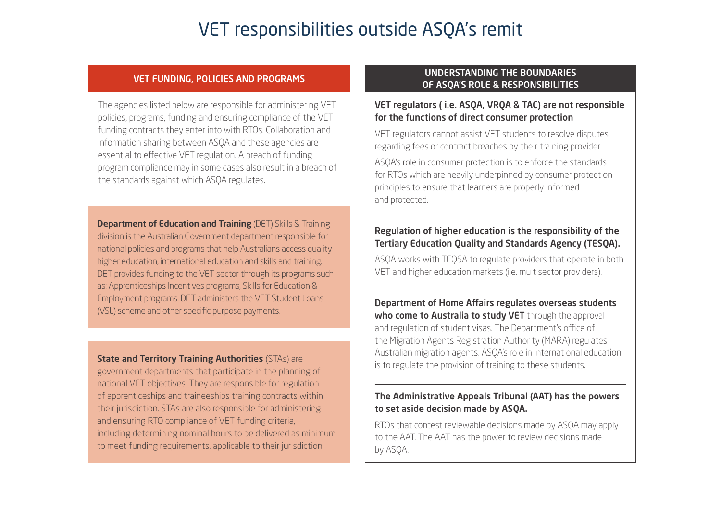## VET regulators ( i.e. ASQA, VRQA & TAC) are not responsible for the functions of direct consumer protection

VET regulators cannot assist VET students to resolve disputes regarding fees or contract breaches by their training provider.

ASQA's role in consumer protection is to enforce the standards for RTOs which are heavily underpinned by consumer protection principles to ensure that learners are properly informed and protected.

## Department of Home Affairs regulates overseas students who come to Australia to study VET through the approval

## Regulation of higher education is the responsibility of the Tertiary Education Quality and Standards Agency (TESQA).

ASQA works with TEQSA to regulate providers that operate in both VET and higher education markets (i.e. multisector providers).

and regulation of student visas. The Department's office of the Migration Agents Registration Authority (MARA) regulates Australian migration agents. ASQA's role in International education is to regulate the provision of training to these students.

## The Administrative Appeals Tribunal (AAT) has the powers to set aside decision made by ASQA.

**Department of Education and Training (DET) Skills & Training** division is the Australian Government department responsible for national policies and programs that help Australians access quality higher education, international education and skills and training. DET provides funding to the VET sector through its programs such as: Apprenticeships Incentives programs, Skills for Education & Employment programs. DET administers the VET Student Loans (VSL) scheme and other specific purpose payments.

> RTOs that contest reviewable decisions made by ASQA may apply to the AAT. The AAT has the power to review decisions made by ASQA.

**State and Territory Training Authorities (STAs) are** government departments that participate in the planning of national VET objectives. They are responsible for regulation of apprenticeships and traineeships training contracts within their jurisdiction. STAs are also responsible for administering and ensuring RTO compliance of VET funding criteria, including determining nominal hours to be delivered as minimum to meet funding requirements, applicable to their jurisdiction.

The agencies listed below are responsible for administering VET policies, programs, funding and ensuring compliance of the VET funding contracts they enter into with RTOs. Collaboration and information sharing between ASQA and these agencies are essential to effective VET regulation. A breach of funding program compliance may in some cases also result in a breach of the standards against which ASQA regulates.

## UNDERSTANDING THE BOUNDARIES OF ASQA'S ROLE & RESPONSIBILITIES VET FUNDING, POLICIES AND PROGRAMS

# VET responsibilities outside ASQA's remit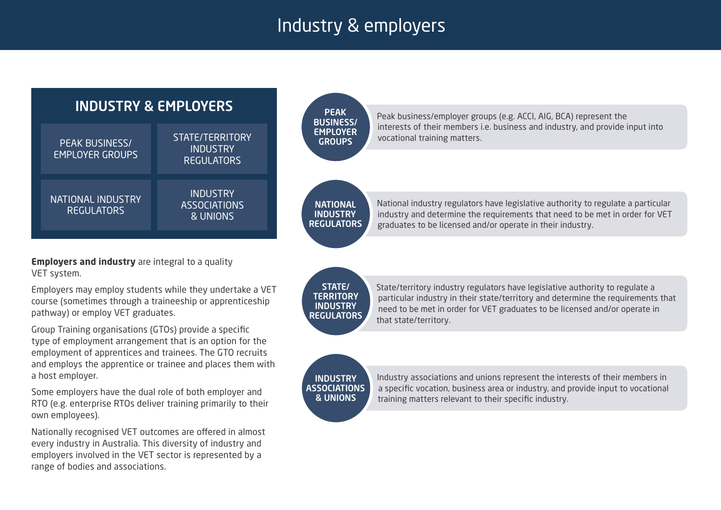# Industry & employers

STATE/ **TERRITORY INDUSTRY REGULATORS** 

**INDUSTRY ASSOCIATIONS** & UNIONS

**Employers and industry** are integral to a quality VET system.

> State/territory industry regulators have legislative authority to regulate a particular industry in their state/territory and determine the requirements that need to be met in order for VET graduates to be licensed and/or operate in that state/territory.

Industry associations and unions represent the interests of their members in a specific vocation, business area or industry, and provide input to vocational training matters relevant to their specific industry.



Employers may employ students while they undertake a VET course (sometimes through a traineeship or apprenticeship pathway) or employ VET graduates.

Group Training organisations (GTOs) provide a specific type of employment arrangement that is an option for the employment of apprentices and trainees. The GTO recruits and employs the apprentice or trainee and places them with a host employer.

Some employers have the dual role of both employer and RTO (e.g. enterprise RTOs deliver training primarily to their own employees).

Nationally recognised VET outcomes are offered in almost every industry in Australia. This diversity of industry and employers involved in the VET sector is represented by a range of bodies and associations.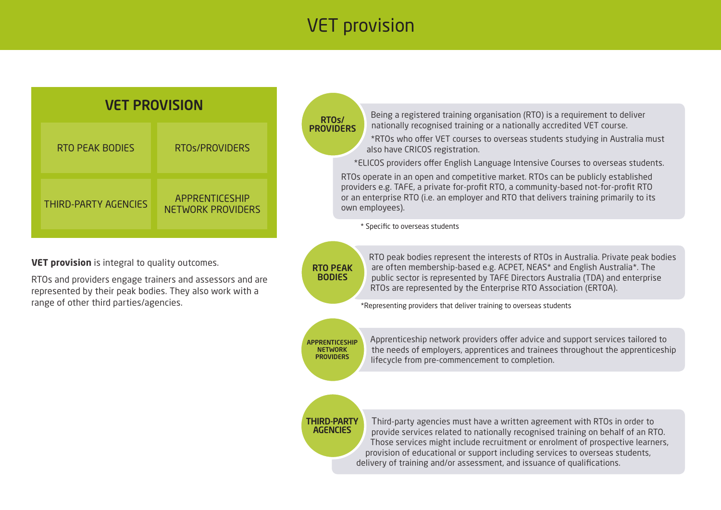# VET provision

APPRENTICESHIP **NETWORK PROVIDERS** 

Apprenticeship network providers offer advice and support services tailored to the needs of employers, apprentices and trainees throughout the apprenticeship lifecycle from pre-commencement to completion.

### THIRD-PARTY **AGENCIES**

Third-party agencies must have a written agreement with RTOs in order to provide services related to nationally recognised training on behalf of an RTO. Those services might include recruitment or enrolment of prospective learners, provision of educational or support including services to overseas students, delivery of training and/or assessment, and issuance of qualifications.

RTOs/ **PROVIDERS** 

RTOs and providers engage trainers and assessors and are represented by their peak bodies. They also work with a range of other third parties/agencies.

Being a registered training organisation (RTO) is a requirement to deliver nationally recognised training or a nationally accredited VET course. \*RTOs who offer VET courses to overseas students studying in Australia must

also have CRICOS registration.

\*ELICOS providers offer English Language Intensive Courses to overseas students. RTOs operate in an open and competitive market. RTOs can be publicly established providers e.g. TAFE, a private for-profit RTO, a community-based not-for-profit RTO or an enterprise RTO (i.e. an employer and RTO that delivers training primarily to its own employees).

\* Specific to overseas students

RTO peak bodies represent the interests of RTOs in Australia. Private peak bodies are often membership-based e.g. ACPET, NEAS\* and English Australia\*. The public sector is represented by TAFE Directors Australia (TDA) and enterprise RTOs are represented by the Enterprise RTO Association (ERTOA).

RTO PEAK BODIES

\*Representing providers that deliver training to overseas students

| <b>VET PROVISION</b>        |                                                   |  |  |  |
|-----------------------------|---------------------------------------------------|--|--|--|
| <b>RTO PEAK BODIES</b>      | RTOS/PROVIDERS                                    |  |  |  |
| <b>THIRD-PARTY AGENCIES</b> | <b>APPRENTICESHIP</b><br><b>NETWORK PROVIDERS</b> |  |  |  |

**VET provision** is integral to quality outcomes.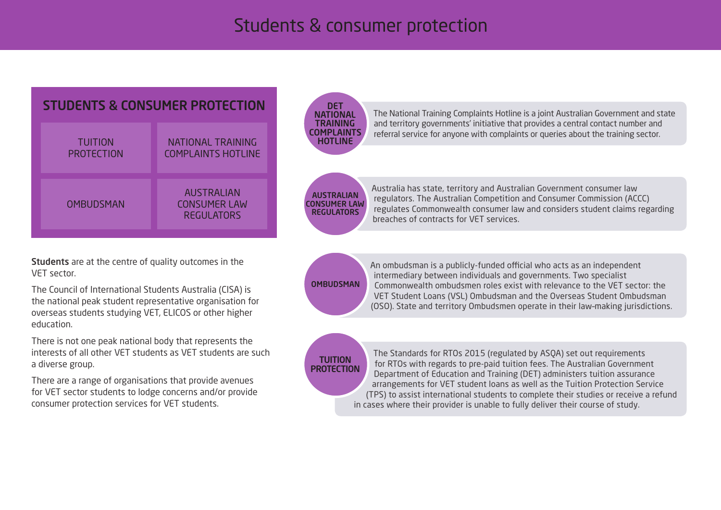# Students & consumer protection

The National Training Complaints Hotline is a joint Australian Government and state and territory governments' initiative that provides a central contact number and referral service for anyone with complaints or queries about the training sector.

DET **NATIONAL** TRAINING COMPLAINTS HOTLINE

> Australia has state, territory and Australian Government consumer law regulators. The Australian Competition and Consumer Commission (ACCC) regulates Commonwealth consumer law and considers student claims regarding breaches of contracts for VET services.

**OMBUDSMAN** 

AUSTRALIAN CONSUMER LAW REGULATORS

> An ombudsman is a publicly-funded official who acts as an independent intermediary between individuals and governments. Two specialist Commonwealth ombudsmen roles exist with relevance to the VET sector: the VET Student Loans (VSL) Ombudsman and the Overseas Student Ombudsman (OSO). State and territory Ombudsmen operate in their law–making jurisdictions.

**TUITION PROTECTION** 

The Standards for RTOs 2015 (regulated by ASQA) set out requirements for RTOs with regards to pre-paid tuition fees. The Australian Government Department of Education and Training (DET) administers tuition assurance arrangements for VET student loans as well as the Tuition Protection Service (TPS) to assist international students to complete their studies or receive a refund in cases where their provider is unable to fully deliver their course of study.

Students are at the centre of quality outcomes in the VET sector.

The Council of International Students Australia (CISA) is the national peak student representative organisation for overseas students studying VET, ELICOS or other higher education.

There is not one peak national body that represents the interests of all other VET students as VET students are such a diverse group.

There are a range of organisations that provide avenues for VET sector students to lodge concerns and/or provide consumer protection services for VET students.